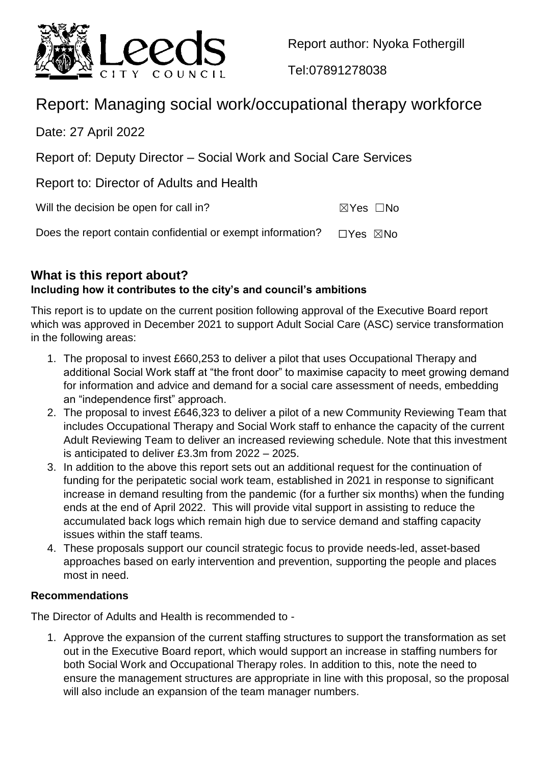

Report author: Nyoka Fothergill

Tel:07891278038

# Report: Managing social work/occupational therapy workforce

Date: 27 April 2022

Report of: Deputy Director – Social Work and Social Care Services

Report to: Director of Adults and Health

Will the decision be open for call in?  $\boxtimes Y$ es  $\Box$ No

Does the report contain confidential or exempt information?  $\Box$ Yes  $\boxtimes$ No

**What is this report about?**

# **Including how it contributes to the city's and council's ambitions**

This report is to update on the current position following approval of the Executive Board report which was approved in December 2021 to support Adult Social Care (ASC) service transformation in the following areas:

- 1. The proposal to invest £660,253 to deliver a pilot that uses Occupational Therapy and additional Social Work staff at "the front door" to maximise capacity to meet growing demand for information and advice and demand for a social care assessment of needs, embedding an "independence first" approach.
- 2. The proposal to invest £646,323 to deliver a pilot of a new Community Reviewing Team that includes Occupational Therapy and Social Work staff to enhance the capacity of the current Adult Reviewing Team to deliver an increased reviewing schedule. Note that this investment is anticipated to deliver £3.3m from 2022 – 2025.
- 3. In addition to the above this report sets out an additional request for the continuation of funding for the peripatetic social work team, established in 2021 in response to significant increase in demand resulting from the pandemic (for a further six months) when the funding ends at the end of April 2022. This will provide vital support in assisting to reduce the accumulated back logs which remain high due to service demand and staffing capacity issues within the staff teams.
- 4. These proposals support our council strategic focus to provide needs-led, asset-based approaches based on early intervention and prevention, supporting the people and places most in need.

#### **Recommendations**

The Director of Adults and Health is recommended to -

1. Approve the expansion of the current staffing structures to support the transformation as set out in the Executive Board report, which would support an increase in staffing numbers for both Social Work and Occupational Therapy roles. In addition to this, note the need to ensure the management structures are appropriate in line with this proposal, so the proposal will also include an expansion of the team manager numbers.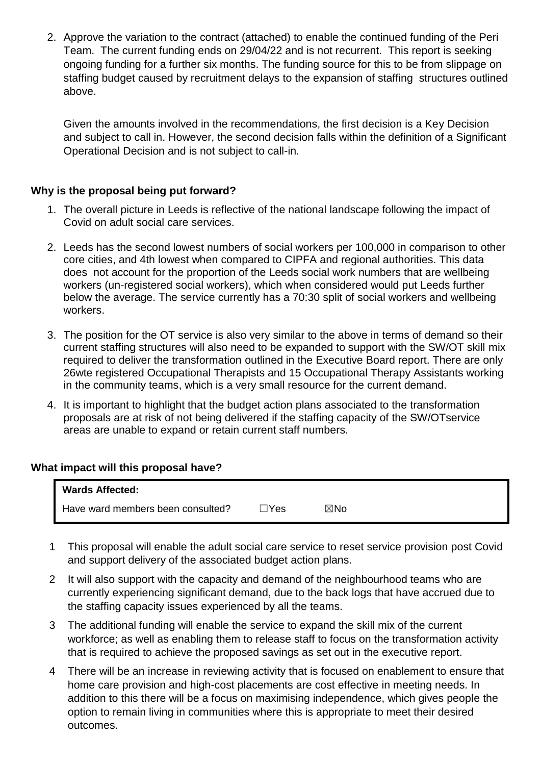2. Approve the variation to the contract (attached) to enable the continued funding of the Peri Team. The current funding ends on 29/04/22 and is not recurrent. This report is seeking ongoing funding for a further six months. The funding source for this to be from slippage on staffing budget caused by recruitment delays to the expansion of staffing structures outlined above.

Given the amounts involved in the recommendations, the first decision is a Key Decision and subject to call in. However, the second decision falls within the definition of a Significant Operational Decision and is not subject to call-in.

#### **Why is the proposal being put forward?**

- 1. The overall picture in Leeds is reflective of the national landscape following the impact of Covid on adult social care services.
- 2. Leeds has the second lowest numbers of social workers per 100,000 in comparison to other core cities, and 4th lowest when compared to CIPFA and regional authorities. This data does not account for the proportion of the Leeds social work numbers that are wellbeing workers (un-registered social workers), which when considered would put Leeds further below the average. The service currently has a 70:30 split of social workers and wellbeing workers.
- 3. The position for the OT service is also very similar to the above in terms of demand so their current staffing structures will also need to be expanded to support with the SW/OT skill mix required to deliver the transformation outlined in the Executive Board report. There are only 26wte registered Occupational Therapists and 15 Occupational Therapy Assistants working in the community teams, which is a very small resource for the current demand.
- 4. It is important to highlight that the budget action plans associated to the transformation proposals are at risk of not being delivered if the staffing capacity of the SW/OTservice areas are unable to expand or retain current staff numbers.

#### **What impact will this proposal have?**

| <b>Wards Affected:</b>            |             |                |  |
|-----------------------------------|-------------|----------------|--|
| Have ward members been consulted? | $\lnot$ Yes | $\boxtimes$ No |  |

- 1 This proposal will enable the adult social care service to reset service provision post Covid and support delivery of the associated budget action plans.
- 2 It will also support with the capacity and demand of the neighbourhood teams who are currently experiencing significant demand, due to the back logs that have accrued due to the staffing capacity issues experienced by all the teams.
- 3 The additional funding will enable the service to expand the skill mix of the current workforce; as well as enabling them to release staff to focus on the transformation activity that is required to achieve the proposed savings as set out in the executive report.
- 4 There will be an increase in reviewing activity that is focused on enablement to ensure that home care provision and high-cost placements are cost effective in meeting needs. In addition to this there will be a focus on maximising independence, which gives people the option to remain living in communities where this is appropriate to meet their desired outcomes.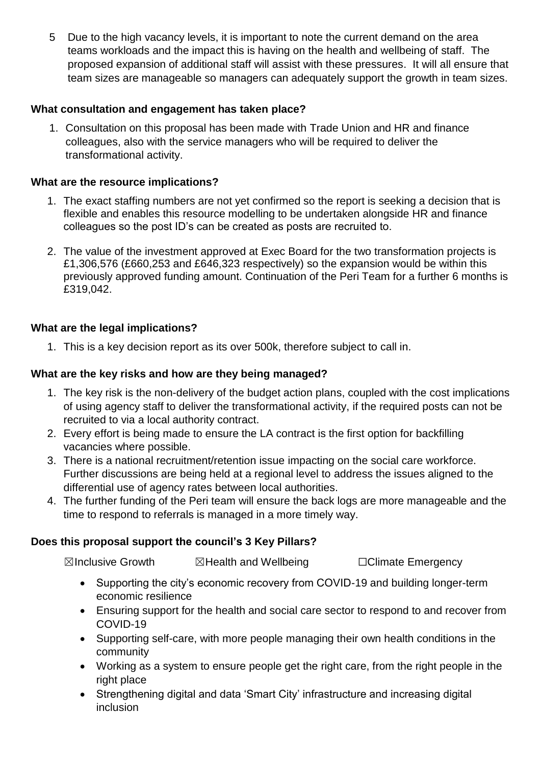5 Due to the high vacancy levels, it is important to note the current demand on the area teams workloads and the impact this is having on the health and wellbeing of staff. The proposed expansion of additional staff will assist with these pressures. It will all ensure that team sizes are manageable so managers can adequately support the growth in team sizes.

#### **What consultation and engagement has taken place?**

1. Consultation on this proposal has been made with Trade Union and HR and finance colleagues, also with the service managers who will be required to deliver the transformational activity.

#### **What are the resource implications?**

- 1. The exact staffing numbers are not yet confirmed so the report is seeking a decision that is flexible and enables this resource modelling to be undertaken alongside HR and finance colleagues so the post ID's can be created as posts are recruited to.
- 2. The value of the investment approved at Exec Board for the two transformation projects is £1,306,576 (£660,253 and £646,323 respectively) so the expansion would be within this previously approved funding amount. Continuation of the Peri Team for a further 6 months is £319,042.

#### **What are the legal implications?**

1. This is a key decision report as its over 500k, therefore subject to call in.

#### **What are the key risks and how are they being managed?**

- 1. The key risk is the non-delivery of the budget action plans, coupled with the cost implications of using agency staff to deliver the transformational activity, if the required posts can not be recruited to via a local authority contract.
- 2. Every effort is being made to ensure the LA contract is the first option for backfilling vacancies where possible.
- 3. There is a national recruitment/retention issue impacting on the social care workforce. Further discussions are being held at a regional level to address the issues aligned to the differential use of agency rates between local authorities.
- 4. The further funding of the Peri team will ensure the back logs are more manageable and the time to respond to referrals is managed in a more timely way.

#### **Does this proposal support the council's 3 Key Pillars?**

☒Inclusive Growth ☒Health and Wellbeing ☐Climate Emergency

- Supporting the city's economic recovery from COVID-19 and building longer-term economic resilience
- Ensuring support for the health and social care sector to respond to and recover from COVID-19
- Supporting self-care, with more people managing their own health conditions in the community
- Working as a system to ensure people get the right care, from the right people in the right place
- Strengthening digital and data 'Smart City' infrastructure and increasing digital inclusion